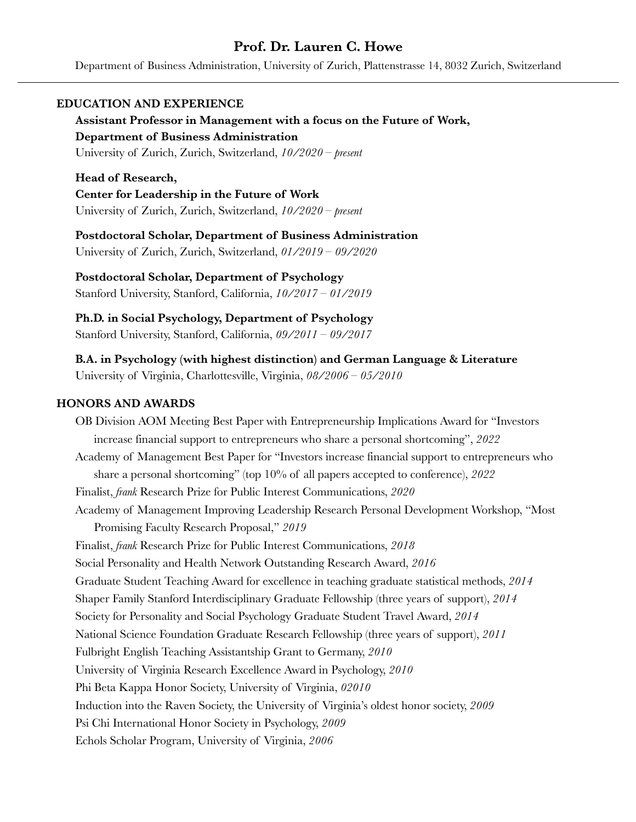# **Prof. Dr. Lauren C. Howe**

Department of Business Administration, University of Zurich, Plattenstrasse 14, 8032 Zurich, Switzerland

## **EDUCATION AND EXPERIENCE**

**Assistant Professor in Management with a focus on the Future of Work, Department of Business Administration** University of Zurich, Zurich, Switzerland, *10/2020 – present*

**Head of Research, Center for Leadership in the Future of Work** University of Zurich, Zurich, Switzerland, *10/2020 – present*

**Postdoctoral Scholar, Department of Business Administration** University of Zurich, Zurich, Switzerland, *01/2019 – 09/2020*

**Postdoctoral Scholar, Department of Psychology**

Stanford University, Stanford, California, *10/2017 – 01/2019*

**Ph.D. in Social Psychology, Department of Psychology** Stanford University, Stanford, California, *09/2011 – 09/2017*

**B.A. in Psychology (with highest distinction) and German Language & Literature** University of Virginia, Charlottesville, Virginia, *08/2006 – 05/2010* 

## **HONORS AND AWARDS**

OB Division AOM Meeting Best Paper with Entrepreneurship Implications Award for "Investors increase financial support to entrepreneurs who share a personal shortcoming", *2022* Academy of Management Best Paper for "Investors increase financial support to entrepreneurs who share a personal shortcoming" (top 10% of all papers accepted to conference), *2022* Finalist, *frank* Research Prize for Public Interest Communications, *2020* Academy of Management Improving Leadership Research Personal Development Workshop, "Most Promising Faculty Research Proposal," *2019* Finalist, *frank* Research Prize for Public Interest Communications, *2018* Social Personality and Health Network Outstanding Research Award, *2016* Graduate Student Teaching Award for excellence in teaching graduate statistical methods, *2014* Shaper Family Stanford Interdisciplinary Graduate Fellowship (three years of support), *2014* Society for Personality and Social Psychology Graduate Student Travel Award, *2014* National Science Foundation Graduate Research Fellowship (three years of support), *2011* Fulbright English Teaching Assistantship Grant to Germany, *2010* University of Virginia Research Excellence Award in Psychology, *2010* Phi Beta Kappa Honor Society, University of Virginia, *02010* Induction into the Raven Society, the University of Virginia's oldest honor society, *2009* Psi Chi International Honor Society in Psychology, *2009* Echols Scholar Program, University of Virginia, *2006*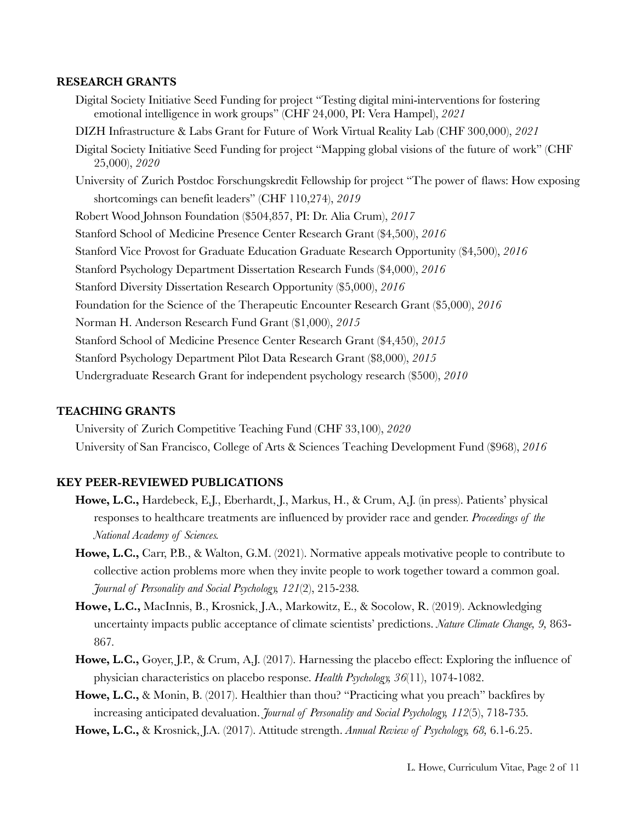#### **RESEARCH GRANTS**

Digital Society Initiative Seed Funding for project "Testing digital mini-interventions for fostering emotional intelligence in work groups" (CHF 24,000, PI: Vera Hampel), *2021* DIZH Infrastructure & Labs Grant for Future of Work Virtual Reality Lab (CHF 300,000), *2021* Digital Society Initiative Seed Funding for project "Mapping global visions of the future of work" (CHF 25,000), *2020* University of Zurich Postdoc Forschungskredit Fellowship for project "The power of flaws: How exposing shortcomings can benefit leaders" (CHF 110,274), *2019* Robert Wood Johnson Foundation (\$504,857, PI: Dr. Alia Crum), *2017* Stanford School of Medicine Presence Center Research Grant (\$4,500), *2016* Stanford Vice Provost for Graduate Education Graduate Research Opportunity (\$4,500), *2016* Stanford Psychology Department Dissertation Research Funds (\$4,000), *2016* Stanford Diversity Dissertation Research Opportunity (\$5,000), *2016* Foundation for the Science of the Therapeutic Encounter Research Grant (\$5,000), *2016* Norman H. Anderson Research Fund Grant (\$1,000), *2015* Stanford School of Medicine Presence Center Research Grant (\$4,450), *2015* Stanford Psychology Department Pilot Data Research Grant (\$8,000), *2015* Undergraduate Research Grant for independent psychology research (\$500), *2010*

## **TEACHING GRANTS**

University of Zurich Competitive Teaching Fund (CHF 33,100), *2020* University of San Francisco, College of Arts & Sciences Teaching Development Fund (\$968), *2016*

## **KEY PEER-REVIEWED PUBLICATIONS**

- **Howe, L.C.,** Hardebeck, E.J., Eberhardt, J., Markus, H., & Crum, A.J. (in press). Patients' physical responses to healthcare treatments are influenced by provider race and gender. *Proceedings of the National Academy of Sciences.*
- **Howe, L.C.,** Carr, P.B., & Walton, G.M. (2021). Normative appeals motivative people to contribute to collective action problems more when they invite people to work together toward a common goal. *Journal of Personality and Social Psychology, 121*(2), 215-238*.*
- **Howe, L.C.,** MacInnis, B., Krosnick, J.A., Markowitz, E., & Socolow, R. (2019). Acknowledging uncertainty impacts public acceptance of climate scientists' predictions. *Nature Climate Change, 9,* 863- 867*.*
- **Howe, L.C.,** Goyer, J.P., & Crum, A.J. (2017). Harnessing the placebo effect: Exploring the influence of physician characteristics on placebo response. *Health Psychology, 36*(11), 1074-1082.
- **Howe, L.C.,** & Monin, B. (2017). Healthier than thou? "Practicing what you preach" backfires by increasing anticipated devaluation. *Journal of Personality and Social Psychology, 112*(5), 718-735*.*
- **Howe, L.C.,** & Krosnick, J.A. (2017). Attitude strength. *Annual Review of Psychology, 68,* 6.1-6.25.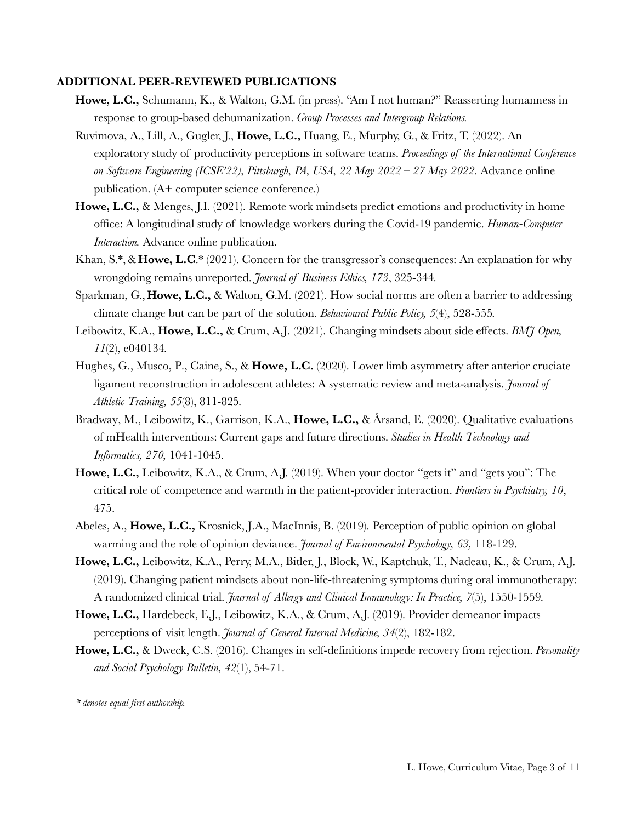#### **ADDITIONAL PEER-REVIEWED PUBLICATIONS**

- **Howe, L.C.,** Schumann, K., & Walton, G.M. (in press). "Am I not human?" Reasserting humanness in response to group-based dehumanization. *Group Processes and Intergroup Relations.*
- Ruvimova, A., Lill, A., Gugler, J., **Howe, L.C.,** Huang, E., Murphy, G., & Fritz, T. (2022). An exploratory study of productivity perceptions in software teams. *Proceedings of the International Conference on Software Engineering (ICSE'22), Pittsburgh, PA, USA, 22 May 2022 – 27 May 2022.* Advance online publication. (A+ computer science conference.)
- **Howe, L.C.,** & Menges, J.I. (2021). Remote work mindsets predict emotions and productivity in home office: A longitudinal study of knowledge workers during the Covid-19 pandemic. *Human-Computer Interaction.* Advance online publication.
- Khan, S.\*,& **Howe, L.C**.\* (2021). Concern for the transgressor's consequences: An explanation for why wrongdoing remains unreported. *Journal of Business Ethics, 173*, 325-344*.*
- Sparkman, G., **Howe, L.C.,** & Walton, G.M. (2021). How social norms are often a barrier to addressing climate change but can be part of the solution. *Behavioural Public Policy, 5*(4), 528-555*.*
- Leibowitz, K.A., **Howe, L.C.,** & Crum, A.J. (2021). Changing mindsets about side effects. *BMJ Open, 11*(2), e040134*.*
- Hughes, G., Musco, P., Caine, S., & **Howe, L.C.** (2020). Lower limb asymmetry after anterior cruciate ligament reconstruction in adolescent athletes: A systematic review and meta-analysis. *Journal of Athletic Training, 55*(8), 811-825*.*
- Bradway, M., Leibowitz, K., Garrison, K.A., **Howe, L.C.,** & Årsand, E. (2020). Qualitative evaluations of mHealth interventions: Current gaps and future directions. *Studies in Health Technology and Informatics, 270,* 1041-1045.
- **Howe, L.C.,** Leibowitz, K.A., & Crum, A.J. (2019). When your doctor "gets it" and "gets you": The critical role of competence and warmth in the patient-provider interaction. *Frontiers in Psychiatry, 10*, 475.
- Abeles, A., **Howe, L.C.,** Krosnick, J.A., MacInnis, B. (2019). Perception of public opinion on global warming and the role of opinion deviance. *Journal of Environmental Psychology, 63,* 118-129.
- **Howe, L.C.,** Leibowitz, K.A., Perry, M.A., Bitler, J., Block, W., Kaptchuk, T., Nadeau, K., & Crum, A.J. (2019). Changing patient mindsets about non-life-threatening symptoms during oral immunotherapy: A randomized clinical trial. *Journal of Allergy and Clinical Immunology: In Practice, 7*(5), 1550-1559*.*
- **Howe, L.C.,** Hardebeck, E.J., Leibowitz, K.A., & Crum, A.J. (2019). Provider demeanor impacts perceptions of visit length. *Journal of General Internal Medicine, 34*(2), 182-182.
- **Howe, L.C.,** & Dweck, C.S. (2016). Changes in self-definitions impede recovery from rejection. *Personality and Social Psychology Bulletin, 42*(1), 54-71.

*\* denotes equal first authorship.*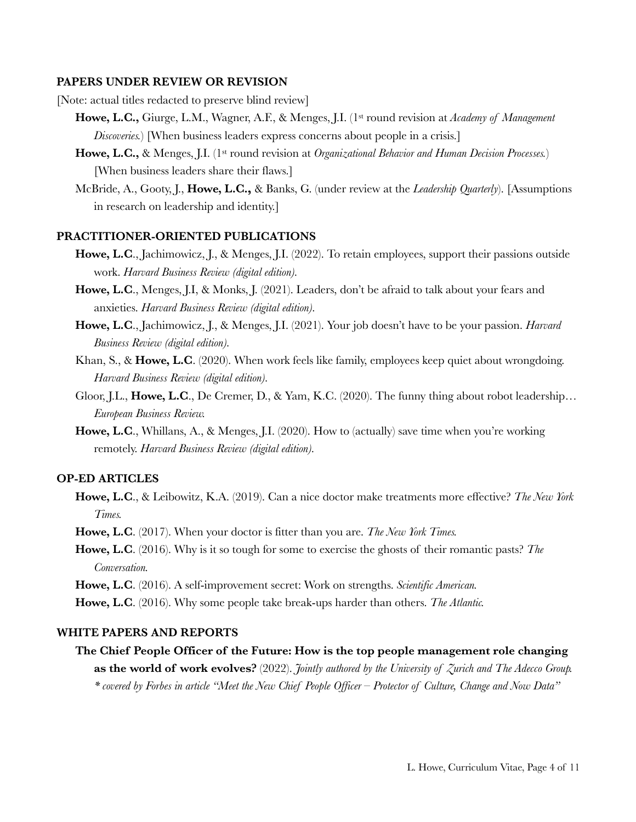#### **PAPERS UNDER REVIEW OR REVISION**

[Note: actual titles redacted to preserve blind review]

- **Howe, L.C.,** Giurge, L.M., Wagner, A.F., & Menges, J.I. (1st round revision at *Academy of Management Discoveries.*) [When business leaders express concerns about people in a crisis.]
- **Howe, L.C.,** & Menges, J.I. (1st round revision at *Organizational Behavior and Human Decision Processes.*) [When business leaders share their flaws.]
- McBride, A., Gooty, J., **Howe, L.C.,** & Banks, G. (under review at the *Leadership Quarterly*). [Assumptions in research on leadership and identity.]

#### **PRACTITIONER-ORIENTED PUBLICATIONS**

- **Howe, L.C**., Jachimowicz, J., & Menges, J.I. (2022). To retain employees, support their passions outside work. *Harvard Business Review (digital edition).*
- **Howe, L.C**., Menges, J.I, & Monks, J. (2021). Leaders, don't be afraid to talk about your fears and anxieties. *Harvard Business Review (digital edition).*
- **Howe, L.C**., Jachimowicz, J., & Menges, J.I. (2021). Your job doesn't have to be your passion. *Harvard Business Review (digital edition).*
- Khan, S., & **Howe, L.C**. (2020). When work feels like family, employees keep quiet about wrongdoing. *Harvard Business Review (digital edition).*
- Gloor, J.L., **Howe, L.C**., De Cremer, D., & Yam, K.C. (2020). The funny thing about robot leadership… *European Business Review.*
- **Howe, L.C**., Whillans, A., & Menges, J.I. (2020). How to (actually) save time when you're working remotely. *Harvard Business Review (digital edition).*

## **OP-ED ARTICLES**

- **Howe, L.C**., & Leibowitz, K.A. (2019). Can a nice doctor make treatments more effective? *The New York Times.*
- **Howe, L.C**. (2017). When your doctor is fitter than you are. *The New York Times.*
- **Howe, L.C**. (2016). Why is it so tough for some to exercise the ghosts of their romantic pasts? *The Conversation.*
- **Howe, L.C**. (2016). A self-improvement secret: Work on strengths. *Scientific American.*
- **Howe, L.C**. (2016). Why some people take break-ups harder than others. *The Atlantic.*

## **WHITE PAPERS AND REPORTS**

**The Chief People Officer of the Future: How is the top people management role changing as the world of work evolves?** (2022). *Jointly authored by the University of Zurich and The Adecco Group. \* covered by Forbes in article "Meet the New Chief People Officer – Protector of Culture, Change and Now Data"*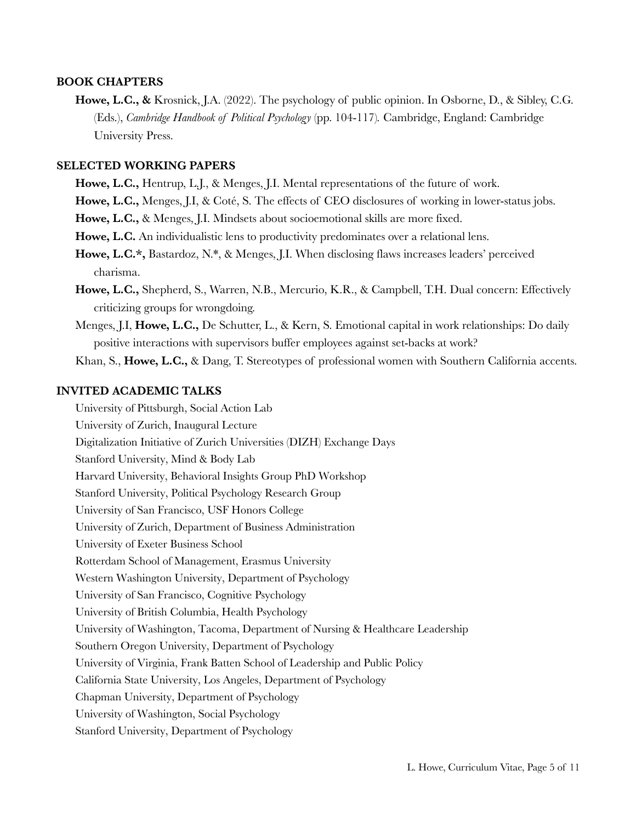#### **BOOK CHAPTERS**

**Howe, L.C., &** Krosnick, J.A. (2022). The psychology of public opinion. In Osborne, D., & Sibley, C.G. (Eds.), *Cambridge Handbook of Political Psychology* (pp. 104-117)*.* Cambridge, England: Cambridge University Press.

# **SELECTED WORKING PAPERS**

- **Howe, L.C.,** Hentrup, L.J., & Menges, J.I. Mental representations of the future of work.
- **Howe, L.C.,** Menges, J.I, & Coté, S. The effects of CEO disclosures of working in lower-status jobs.
- **Howe, L.C.,** & Menges, J.I. Mindsets about socioemotional skills are more fixed.
- **Howe, L.C.** An individualistic lens to productivity predominates over a relational lens.
- **Howe, L.C.\*,** Bastardoz, N.\*, & Menges, J.I. When disclosing flaws increases leaders' perceived charisma.
- **Howe, L.C.,** Shepherd, S., Warren, N.B., Mercurio, K.R., & Campbell, T.H. Dual concern: Effectively criticizing groups for wrongdoing.
- Menges, J.I, **Howe, L.C.,** De Schutter, L., & Kern, S. Emotional capital in work relationships: Do daily positive interactions with supervisors buffer employees against set-backs at work?
- Khan, S., **Howe, L.C.,** & Dang, T. Stereotypes of professional women with Southern California accents.

# **INVITED ACADEMIC TALKS**

University of Pittsburgh, Social Action Lab University of Zurich, Inaugural Lecture Digitalization Initiative of Zurich Universities (DIZH) Exchange Days Stanford University, Mind & Body Lab Harvard University, Behavioral Insights Group PhD Workshop Stanford University, Political Psychology Research Group University of San Francisco, USF Honors College University of Zurich, Department of Business Administration University of Exeter Business School Rotterdam School of Management, Erasmus University Western Washington University, Department of Psychology University of San Francisco, Cognitive Psychology University of British Columbia, Health Psychology University of Washington, Tacoma, Department of Nursing & Healthcare Leadership Southern Oregon University, Department of Psychology University of Virginia, Frank Batten School of Leadership and Public Policy California State University, Los Angeles, Department of Psychology Chapman University, Department of Psychology University of Washington, Social Psychology Stanford University, Department of Psychology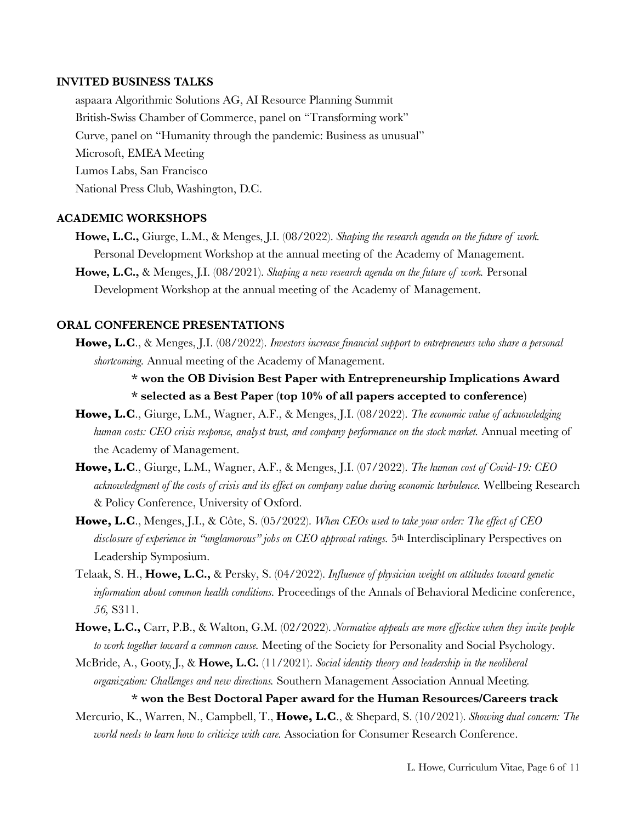#### **INVITED BUSINESS TALKS**

aspaara Algorithmic Solutions AG, AI Resource Planning Summit British-Swiss Chamber of Commerce, panel on "Transforming work" Curve, panel on "Humanity through the pandemic: Business as unusual" Microsoft, EMEA Meeting Lumos Labs, San Francisco National Press Club, Washington, D.C.

#### **ACADEMIC WORKSHOPS**

- **Howe, L.C.,** Giurge, L.M., & Menges, J.I. (08/2022). *Shaping the research agenda on the future of work.* Personal Development Workshop at the annual meeting of the Academy of Management.
- **Howe, L.C.,** & Menges, J.I. (08/2021). *Shaping a new research agenda on the future of work.* Personal Development Workshop at the annual meeting of the Academy of Management.

## **ORAL CONFERENCE PRESENTATIONS**

**Howe, L.C**., & Menges, J.I. (08/2022). *Investors increase financial support to entrepreneurs who share a personal shortcoming.* Annual meeting of the Academy of Management.

> **\* won the OB Division Best Paper with Entrepreneurship Implications Award \* selected as a Best Paper (top 10% of all papers accepted to conference)**

- **Howe, L.C**., Giurge, L.M., Wagner, A.F., & Menges, J.I. (08/2022). *The economic value of acknowledging human costs: CEO crisis response, analyst trust, and company performance on the stock market.* Annual meeting of the Academy of Management.
- **Howe, L.C**., Giurge, L.M., Wagner, A.F., & Menges, J.I. (07/2022). *The human cost of Covid-19: CEO acknowledgment of the costs of crisis and its effect on company value during economic turbulence.* Wellbeing Research & Policy Conference, University of Oxford.
- **Howe, L.C**., Menges, J.I., & Côte, S. (05/2022). *When CEOs used to take your order: The effect of CEO disclosure of experience in "unglamorous" jobs on CEO approval ratings.* 5th Interdisciplinary Perspectives on Leadership Symposium.
- Telaak, S. H., **Howe, L.C.,** & Persky, S. (04/2022). *Influence of physician weight on attitudes toward genetic information about common health conditions.* Proceedings of the Annals of Behavioral Medicine conference, *56,* S311.
- **Howe, L.C.,** Carr, P.B., & Walton, G.M. (02/2022). *Normative appeals are more effective when they invite people to work together toward a common cause.* Meeting of the Society for Personality and Social Psychology.
- McBride, A., Gooty, J., & **Howe, L.C.** (11/2021). *Social identity theory and leadership in the neoliberal organization: Challenges and new directions.* Southern Management Association Annual Meeting.

#### **\* won the Best Doctoral Paper award for the Human Resources/Careers track**

Mercurio, K., Warren, N., Campbell, T., **Howe, L.C**., & Shepard, S. (10/2021). *Showing dual concern: The world needs to learn how to criticize with care.* Association for Consumer Research Conference.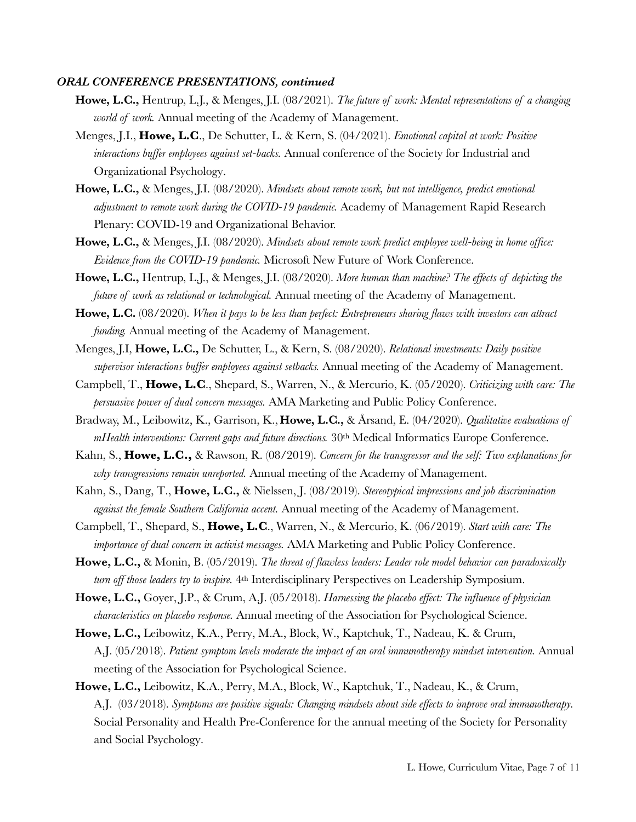#### *ORAL CONFERENCE PRESENTATIONS, continued*

- **Howe, L.C.,** Hentrup, L.J., & Menges, J.I. (08/2021). *The future of work: Mental representations of a changing world of work.* Annual meeting of the Academy of Management.
- Menges, J.I., **Howe, L.C**., De Schutter, L. & Kern, S. (04/2021). *Emotional capital at work: Positive interactions buffer employees against set-backs.* Annual conference of the Society for Industrial and Organizational Psychology.
- **Howe, L.C.,** & Menges, J.I. (08/2020). *Mindsets about remote work, but not intelligence, predict emotional adjustment to remote work during the COVID-19 pandemic.* Academy of Management Rapid Research Plenary: COVID-19 and Organizational Behavior.
- **Howe, L.C.,** & Menges, J.I. (08/2020). *Mindsets about remote work predict employee well-being in home office: Evidence from the COVID-19 pandemic.* Microsoft New Future of Work Conference.
- **Howe, L.C.,** Hentrup, L.J., & Menges, J.I. (08/2020). *More human than machine? The effects of depicting the future of work as relational or technological.* Annual meeting of the Academy of Management.
- **Howe, L.C.** (08/2020). *When it pays to be less than perfect: Entrepreneurs sharing flaws with investors can attract funding.* Annual meeting of the Academy of Management.
- Menges, J.I, **Howe, L.C.,** De Schutter, L., & Kern, S. (08/2020). *Relational investments: Daily positive supervisor interactions buffer employees against setbacks.* Annual meeting of the Academy of Management.
- Campbell, T., **Howe, L.C**., Shepard, S., Warren, N., & Mercurio, K. (05/2020). *Criticizing with care: The persuasive power of dual concern messages.* AMA Marketing and Public Policy Conference.
- Bradway, M., Leibowitz, K., Garrison, K., **Howe, L.C.,** & Årsand, E. (04/2020). *Qualitative evaluations of mHealth interventions: Current gaps and future directions.*  $30<sup>th</sup>$  Medical Informatics Europe Conference.
- Kahn, S., **Howe, L.C.,** & Rawson, R. (08/2019). *Concern for the transgressor and the self: Two explanations for why transgressions remain unreported.* Annual meeting of the Academy of Management.
- Kahn, S., Dang, T., **Howe, L.C.,** & Nielssen, J. (08/2019). *Stereotypical impressions and job discrimination against the female Southern California accent.* Annual meeting of the Academy of Management.
- Campbell, T., Shepard, S., **Howe, L.C**., Warren, N., & Mercurio, K. (06/2019). *Start with care: The importance of dual concern in activist messages.* AMA Marketing and Public Policy Conference.
- **Howe, L.C.,** & Monin, B. (05/2019). *The threat of flawless leaders: Leader role model behavior can paradoxically turn off those leaders try to inspire.*  $4<sup>th</sup>$  Interdisciplinary Perspectives on Leadership Symposium.
- **Howe, L.C.,** Goyer, J.P., & Crum, A.J. (05/2018). *Harnessing the placebo effect: The influence of physician characteristics on placebo response.* Annual meeting of the Association for Psychological Science.
- **Howe, L.C.,** Leibowitz, K.A., Perry, M.A., Block, W., Kaptchuk, T., Nadeau, K. & Crum, A.J. (05/2018). *Patient symptom levels moderate the impact of an oral immunotherapy mindset intervention.* Annual meeting of the Association for Psychological Science.
- **Howe, L.C.,** Leibowitz, K.A., Perry, M.A., Block, W., Kaptchuk, T., Nadeau, K., & Crum, A.J. (03/2018). *Symptoms are positive signals: Changing mindsets about side effects to improve oral immunotherapy.* Social Personality and Health Pre-Conference for the annual meeting of the Society for Personality and Social Psychology.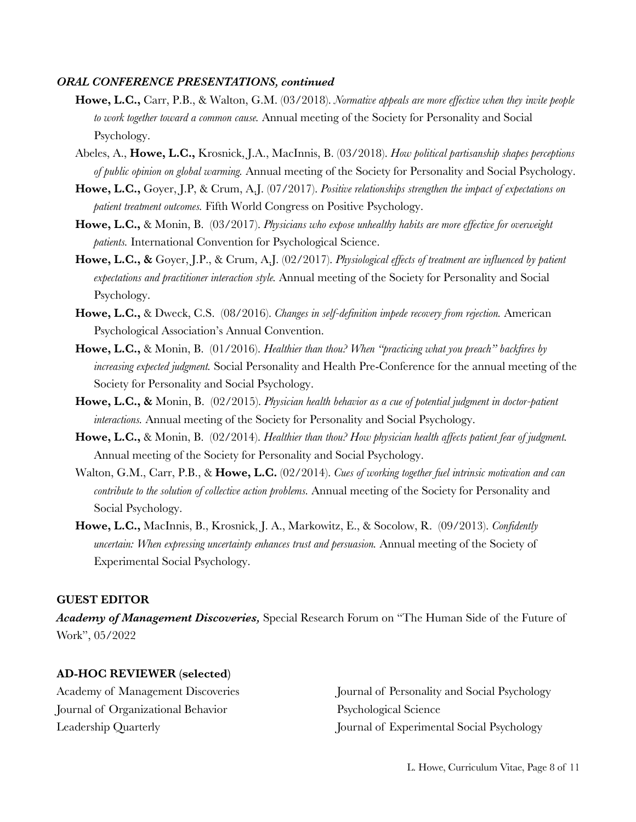#### *ORAL CONFERENCE PRESENTATIONS, continued*

- **Howe, L.C.,** Carr, P.B., & Walton, G.M. (03/2018). *Normative appeals are more effective when they invite people to work together toward a common cause.* Annual meeting of the Society for Personality and Social Psychology.
- Abeles, A., **Howe, L.C.,** Krosnick, J.A., MacInnis, B. (03/2018). *How political partisanship shapes perceptions of public opinion on global warming.* Annual meeting of the Society for Personality and Social Psychology.
- **Howe, L.C.,** Goyer, J.P, & Crum, A.J. (07/2017). *Positive relationships strengthen the impact of expectations on patient treatment outcomes.* Fifth World Congress on Positive Psychology.
- **Howe, L.C.,** & Monin, B. (03/2017). *Physicians who expose unhealthy habits are more effective for overweight patients.* International Convention for Psychological Science.
- **Howe, L.C., &** Goyer, J.P., & Crum, A.J. (02/2017). *Physiological effects of treatment are influenced by patient expectations and practitioner interaction style.* Annual meeting of the Society for Personality and Social Psychology.
- **Howe, L.C.,** & Dweck, C.S. (08/2016). *Changes in self-definition impede recovery from rejection.* American Psychological Association's Annual Convention.
- **Howe, L.C.,** & Monin, B. (01/2016). *Healthier than thou? When "practicing what you preach" backfires by increasing expected judgment.* Social Personality and Health Pre-Conference for the annual meeting of the Society for Personality and Social Psychology.
- **Howe, L.C., &** Monin, B. (02/2015). *Physician health behavior as a cue of potential judgment in doctor-patient interactions.* Annual meeting of the Society for Personality and Social Psychology.
- **Howe, L.C.,** & Monin, B. (02/2014). *Healthier than thou? How physician health affects patient fear of judgment.*  Annual meeting of the Society for Personality and Social Psychology.
- Walton, G.M., Carr, P.B., & **Howe, L.C.** (02/2014). *Cues of working together fuel intrinsic motivation and can contribute to the solution of collective action problems.* Annual meeting of the Society for Personality and Social Psychology.
- **Howe, L.C.,** MacInnis, B., Krosnick, J. A., Markowitz, E., & Socolow, R. (09/2013). *Confidently uncertain: When expressing uncertainty enhances trust and persuasion.* Annual meeting of the Society of Experimental Social Psychology.

#### **GUEST EDITOR**

*Academy of Management Discoveries,* Special Research Forum on "The Human Side of the Future of Work", 05/2022

## **AD-HOC REVIEWER (selected)**

Academy of Management Discoveries Journal of Organizational Behavior Leadership Quarterly

Journal of Personality and Social Psychology Psychological Science Journal of Experimental Social Psychology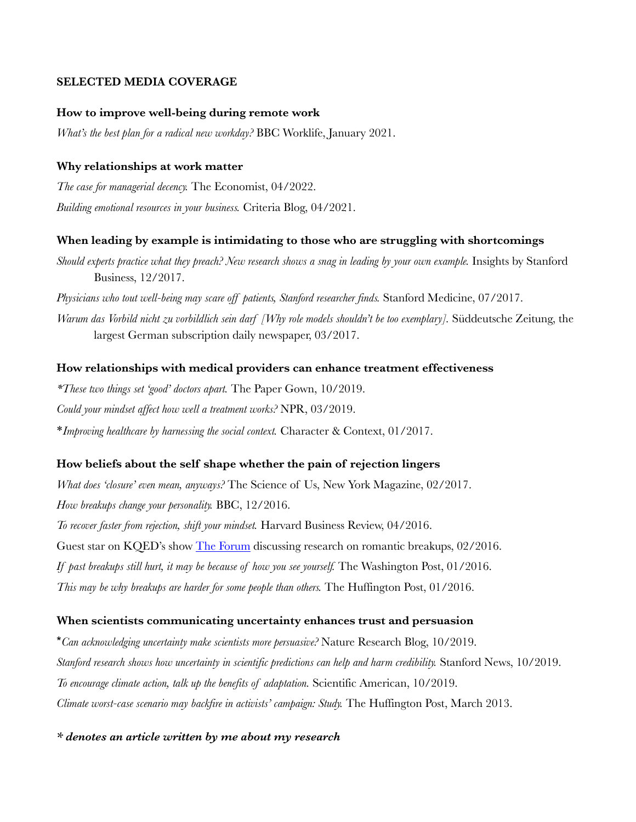## **SELECTED MEDIA COVERAGE**

## **How to improve well-being during remote work**

*What's the best plan for a radical new workday?* BBC Worklife, January 2021.

## **Why relationships at work matter**

*The case for managerial decency.* The Economist, 04/2022. *Building emotional resources in your business.* Criteria Blog, 04/2021.

## **When leading by example is intimidating to those who are struggling with shortcomings**

*Should experts practice what they preach? New research shows a snag in leading by your own example.* Insights by Stanford Business, 12/2017.

*Physicians who tout well-being may scare off patients, Stanford researcher finds.* Stanford Medicine, 07/2017.

*Warum das Vorbild nicht zu vorbildlich sein darf [Why role models shouldn't be too exemplary].* Süddeutsche Zeitung, the largest German subscription daily newspaper, 03/2017.

## **How relationships with medical providers can enhance treatment effectiveness**

*\*These two things set 'good' doctors apart.* The Paper Gown, 10/2019. *Could your mindset affect how well a treatment works?* NPR, 03/2019. \**Improving healthcare by harnessing the social context.* Character & Context, 01/2017.

#### **How beliefs about the self shape whether the pain of rejection lingers**

*What does 'closure' even mean, anyways?* The Science of Us, New York Magazine, 02/2017. *How breakups change your personality.* BBC, 12/2016.

*To recover faster from rejection, shift your mindset.* Harvard Business Review, 04/2016.

Guest star on KQED's show The Forum discussing research on romantic breakups, 02/2016.

*If past breakups still hurt, it may be because of how you see yourself.* The Washington Post, 01/2016.

*This may be why breakups are harder for some people than others.* The Huffington Post, 01/2016.

#### **When scientists communicating uncertainty enhances trust and persuasion**

\**Can acknowledging uncertainty make scientists more persuasive?* Nature Research Blog, 10/2019. *Stanford research shows how uncertainty in scientific predictions can help and harm credibility.* Stanford News, 10/2019. *To encourage climate action, talk up the benefits of adaptation.* Scientific American, 10/2019. *Climate worst-case scenario may backfire in activists' campaign: Study.* The Huffington Post, March 2013.

*\* denotes an article written by me about my research*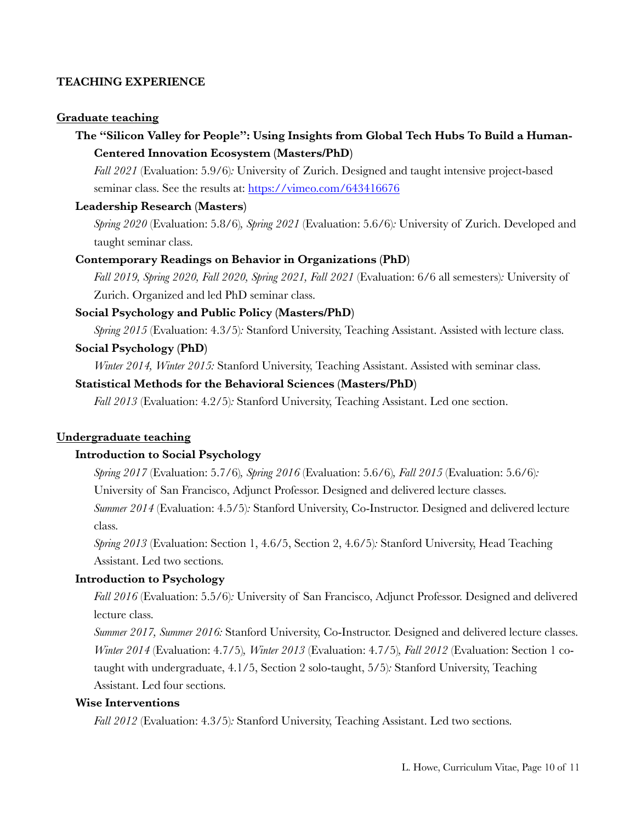## **TEACHING EXPERIENCE**

## **Graduate teaching**

# **The "Silicon Valley for People": Using Insights from Global Tech Hubs To Build a Human-Centered Innovation Ecosystem (Masters/PhD)**

*Fall 2021* (Evaluation: 5.9/6)*:* University of Zurich. Designed and taught intensive project-based seminar class. See the results at: https://vimeo.com/643416676

## **Leadership Research (Masters)**

*Spring 2020* (Evaluation: 5.8/6)*, Spring 2021* (Evaluation: 5.6/6)*:* University of Zurich. Developed and taught seminar class.

## **Contemporary Readings on Behavior in Organizations (PhD)**

*Fall 2019, Spring 2020, Fall 2020, Spring 2021, Fall 2021* (Evaluation: 6/6 all semesters)*:* University of Zurich. Organized and led PhD seminar class.

## **Social Psychology and Public Policy (Masters/PhD)**

*Spring 2015* (Evaluation: 4.3/5)*:* Stanford University, Teaching Assistant. Assisted with lecture class.

## **Social Psychology (PhD)**

*Winter 2014, Winter 2015:* Stanford University, Teaching Assistant. Assisted with seminar class.

#### **Statistical Methods for the Behavioral Sciences (Masters/PhD)**

*Fall 2013* (Evaluation: 4.2/5)*:* Stanford University, Teaching Assistant. Led one section.

#### **Undergraduate teaching**

## **Introduction to Social Psychology**

*Spring 2017* (Evaluation: 5.7/6)*, Spring 2016* (Evaluation: 5.6/6)*, Fall 2015* (Evaluation: 5.6/6)*:*

University of San Francisco, Adjunct Professor. Designed and delivered lecture classes.

*Summer 2014* (Evaluation: 4.5/5)*:* Stanford University, Co-Instructor. Designed and delivered lecture class.

*Spring 2013* (Evaluation: Section 1, 4.6/5, Section 2, 4.6/5)*:* Stanford University, Head Teaching Assistant. Led two sections.

#### **Introduction to Psychology**

*Fall 2016* (Evaluation: 5.5/6)*:* University of San Francisco, Adjunct Professor. Designed and delivered lecture class.

*Summer 2017, Summer 2016:* Stanford University, Co-Instructor. Designed and delivered lecture classes. *Winter 2014* (Evaluation: 4.7/5)*, Winter 2013* (Evaluation: 4.7/5)*, Fall 2012* (Evaluation: Section 1 cotaught with undergraduate, 4.1/5, Section 2 solo-taught, 5/5)*:* Stanford University, Teaching Assistant. Led four sections.

#### **Wise Interventions**

*Fall 2012* (Evaluation: 4.3/5)*:* Stanford University, Teaching Assistant. Led two sections.